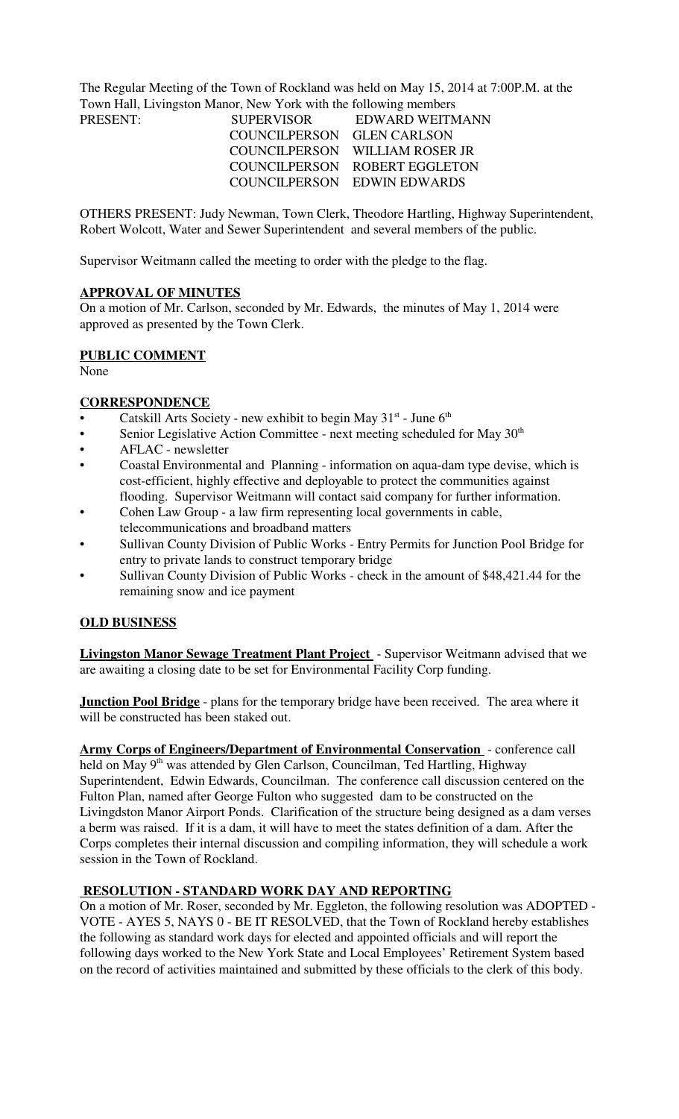The Regular Meeting of the Town of Rockland was held on May 15, 2014 at 7:00P.M. at the Town Hall, Livingston Manor, New York with the following members

| <b>SUPERVISOR</b>          | EDWARD WEITMANN                |
|----------------------------|--------------------------------|
| COUNCILPERSON GLEN CARLSON |                                |
|                            | COUNCILPERSON WILLIAM ROSER JR |
|                            | COUNCILPERSON ROBERT EGGLETON  |
|                            | COUNCILPERSON EDWIN EDWARDS    |
|                            |                                |

OTHERS PRESENT: Judy Newman, Town Clerk, Theodore Hartling, Highway Superintendent, Robert Wolcott, Water and Sewer Superintendent and several members of the public.

Supervisor Weitmann called the meeting to order with the pledge to the flag.

### **APPROVAL OF MINUTES**

On a motion of Mr. Carlson, seconded by Mr. Edwards, the minutes of May 1, 2014 were approved as presented by the Town Clerk.

### **PUBLIC COMMENT**

None

### **CORRESPONDENCE**

- Catskill Arts Society new exhibit to begin May  $31^{st}$  June  $6^{th}$
- Senior Legislative Action Committee next meeting scheduled for May 30<sup>th</sup>
- AFLAC newsletter
- Coastal Environmental and Planning information on aqua-dam type devise, which is cost-efficient, highly effective and deployable to protect the communities against flooding. Supervisor Weitmann will contact said company for further information.
- Cohen Law Group a law firm representing local governments in cable, telecommunications and broadband matters
- Sullivan County Division of Public Works Entry Permits for Junction Pool Bridge for entry to private lands to construct temporary bridge
- Sullivan County Division of Public Works check in the amount of \$48,421.44 for the remaining snow and ice payment

### **OLD BUSINESS**

**Livingston Manor Sewage Treatment Plant Project** - Supervisor Weitmann advised that we are awaiting a closing date to be set for Environmental Facility Corp funding.

**Junction Pool Bridge** - plans for the temporary bridge have been received. The area where it will be constructed has been staked out.

**Army Corps of Engineers/Department of Environmental Conservation** - conference call held on May 9<sup>th</sup> was attended by Glen Carlson, Councilman, Ted Hartling, Highway Superintendent, Edwin Edwards, Councilman. The conference call discussion centered on the Fulton Plan, named after George Fulton who suggested dam to be constructed on the Livingdston Manor Airport Ponds. Clarification of the structure being designed as a dam verses a berm was raised. If it is a dam, it will have to meet the states definition of a dam. After the Corps completes their internal discussion and compiling information, they will schedule a work session in the Town of Rockland.

### **RESOLUTION - STANDARD WORK DAY AND REPORTING**

On a motion of Mr. Roser, seconded by Mr. Eggleton, the following resolution was ADOPTED - VOTE - AYES 5, NAYS 0 - BE IT RESOLVED, that the Town of Rockland hereby establishes the following as standard work days for elected and appointed officials and will report the following days worked to the New York State and Local Employees' Retirement System based on the record of activities maintained and submitted by these officials to the clerk of this body.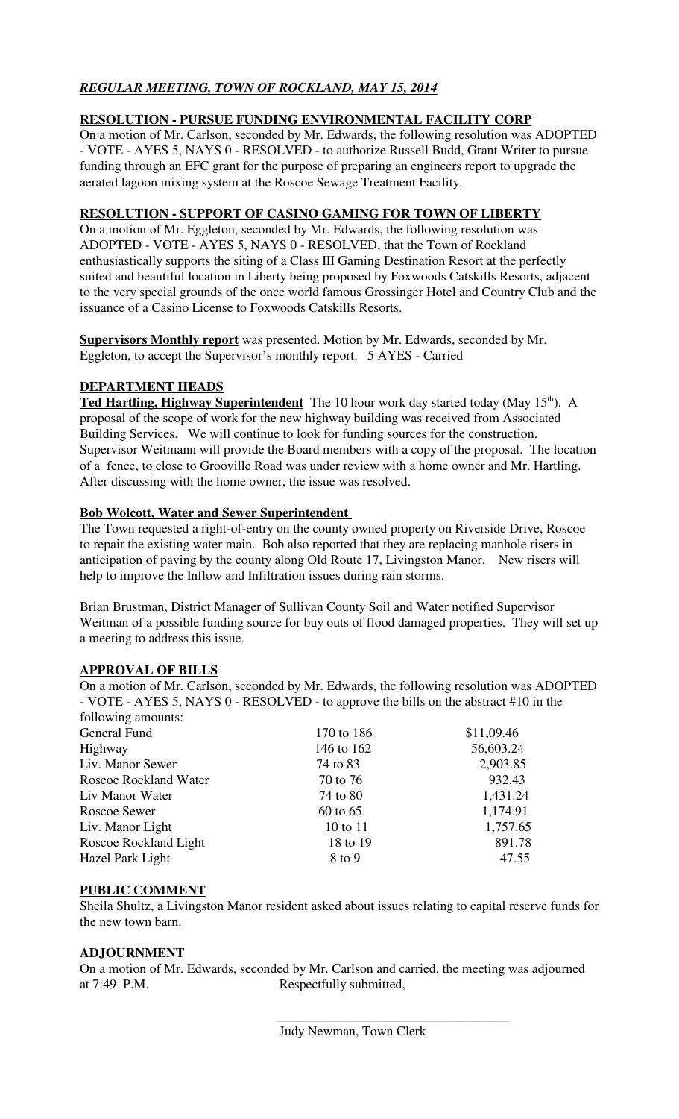# *REGULAR MEETING, TOWN OF ROCKLAND, MAY 15, 2014*

## **RESOLUTION - PURSUE FUNDING ENVIRONMENTAL FACILITY CORP**

On a motion of Mr. Carlson, seconded by Mr. Edwards, the following resolution was ADOPTED - VOTE - AYES 5, NAYS 0 - RESOLVED - to authorize Russell Budd, Grant Writer to pursue funding through an EFC grant for the purpose of preparing an engineers report to upgrade the aerated lagoon mixing system at the Roscoe Sewage Treatment Facility.

### **RESOLUTION - SUPPORT OF CASINO GAMING FOR TOWN OF LIBERTY**

On a motion of Mr. Eggleton, seconded by Mr. Edwards, the following resolution was ADOPTED - VOTE - AYES 5, NAYS 0 - RESOLVED, that the Town of Rockland enthusiastically supports the siting of a Class III Gaming Destination Resort at the perfectly suited and beautiful location in Liberty being proposed by Foxwoods Catskills Resorts, adjacent to the very special grounds of the once world famous Grossinger Hotel and Country Club and the issuance of a Casino License to Foxwoods Catskills Resorts.

**Supervisors Monthly report** was presented. Motion by Mr. Edwards, seconded by Mr. Eggleton, to accept the Supervisor's monthly report. 5 AYES - Carried

### **DEPARTMENT HEADS**

**Ted Hartling, Highway Superintendent** The 10 hour work day started today (May 15<sup>th</sup>). A proposal of the scope of work for the new highway building was received from Associated Building Services. We will continue to look for funding sources for the construction. Supervisor Weitmann will provide the Board members with a copy of the proposal. The location of a fence, to close to Grooville Road was under review with a home owner and Mr. Hartling. After discussing with the home owner, the issue was resolved.

### **Bob Wolcott, Water and Sewer Superintendent**

The Town requested a right-of-entry on the county owned property on Riverside Drive, Roscoe to repair the existing water main. Bob also reported that they are replacing manhole risers in anticipation of paving by the county along Old Route 17, Livingston Manor. New risers will help to improve the Inflow and Infiltration issues during rain storms.

Brian Brustman, District Manager of Sullivan County Soil and Water notified Supervisor Weitman of a possible funding source for buy outs of flood damaged properties. They will set up a meeting to address this issue.

### **APPROVAL OF BILLS**

On a motion of Mr. Carlson, seconded by Mr. Edwards, the following resolution was ADOPTED - VOTE - AYES 5, NAYS 0 - RESOLVED - to approve the bills on the abstract #10 in the following amounts:

| TOITOWING amounts.           |            |            |
|------------------------------|------------|------------|
| General Fund                 | 170 to 186 | \$11,09.46 |
| Highway                      | 146 to 162 | 56,603.24  |
| Liv. Manor Sewer             | 74 to 83   | 2,903.85   |
| <b>Roscoe Rockland Water</b> | 70 to 76   | 932.43     |
| Liv Manor Water              | 74 to 80   | 1,431.24   |
| Roscoe Sewer                 | 60 to 65   | 1,174.91   |
| Liv. Manor Light             | 10 to 11   | 1,757.65   |
| Roscoe Rockland Light        | 18 to 19   | 891.78     |
| Hazel Park Light             | 8 to 9     | 47.55      |
|                              |            |            |

### **PUBLIC COMMENT**

Sheila Shultz, a Livingston Manor resident asked about issues relating to capital reserve funds for the new town barn.

### **ADJOURNMENT**

On a motion of Mr. Edwards, seconded by Mr. Carlson and carried, the meeting was adjourned at 7:49 P.M. Respectfully submitted,

 $\overline{\phantom{a}}$  ,  $\overline{\phantom{a}}$  ,  $\overline{\phantom{a}}$  ,  $\overline{\phantom{a}}$  ,  $\overline{\phantom{a}}$  ,  $\overline{\phantom{a}}$  ,  $\overline{\phantom{a}}$  ,  $\overline{\phantom{a}}$  ,  $\overline{\phantom{a}}$  ,  $\overline{\phantom{a}}$  ,  $\overline{\phantom{a}}$  ,  $\overline{\phantom{a}}$  ,  $\overline{\phantom{a}}$  ,  $\overline{\phantom{a}}$  ,  $\overline{\phantom{a}}$  ,  $\overline{\phantom{a}}$